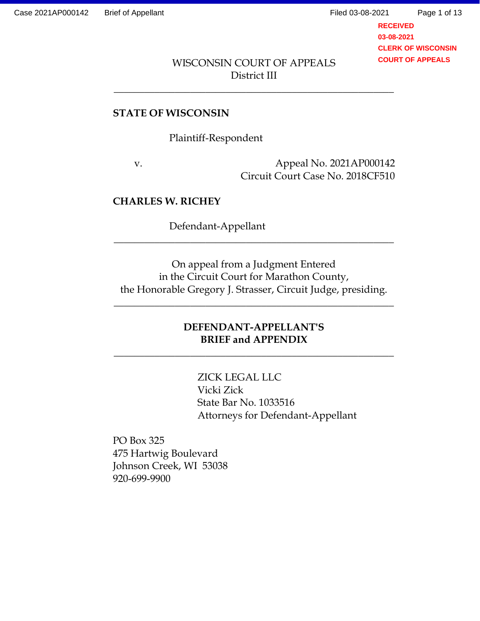Page 1 of 13

**RECEIVED 03-08-2021 CLERK OF WISCONSIN COURT OF APPEALS**

### WISCONSIN COURT OF APPEALS District III

\_\_\_\_\_\_\_\_\_\_\_\_\_\_\_\_\_\_\_\_\_\_\_\_\_\_\_\_\_\_\_\_\_\_\_\_\_\_\_\_\_\_\_\_\_\_\_\_\_\_\_\_\_\_\_

#### **STATE OF WISCONSIN**

Plaintiff-Respondent

v. Appeal No. 2021AP000142 Circuit Court Case No. 2018CF510

#### **CHARLES W. RICHEY**

Defendant-Appellant

On appeal from a Judgment Entered in the Circuit Court for Marathon County, the Honorable Gregory J. Strasser, Circuit Judge, presiding.

 $\overline{\phantom{a}}$  ,  $\overline{\phantom{a}}$  ,  $\overline{\phantom{a}}$  ,  $\overline{\phantom{a}}$  ,  $\overline{\phantom{a}}$  ,  $\overline{\phantom{a}}$  ,  $\overline{\phantom{a}}$  ,  $\overline{\phantom{a}}$  ,  $\overline{\phantom{a}}$  ,  $\overline{\phantom{a}}$  ,  $\overline{\phantom{a}}$  ,  $\overline{\phantom{a}}$  ,  $\overline{\phantom{a}}$  ,  $\overline{\phantom{a}}$  ,  $\overline{\phantom{a}}$  ,  $\overline{\phantom{a}}$ 

\_\_\_\_\_\_\_\_\_\_\_\_\_\_\_\_\_\_\_\_\_\_\_\_\_\_\_\_\_\_\_\_\_\_\_\_\_\_\_\_\_\_\_\_\_\_\_\_\_\_\_\_\_\_\_

# **DEFENDANT-APPELLANT'S BRIEF and APPENDIX**

 $\overline{\phantom{a}}$  ,  $\overline{\phantom{a}}$  ,  $\overline{\phantom{a}}$  ,  $\overline{\phantom{a}}$  ,  $\overline{\phantom{a}}$  ,  $\overline{\phantom{a}}$  ,  $\overline{\phantom{a}}$  ,  $\overline{\phantom{a}}$  ,  $\overline{\phantom{a}}$  ,  $\overline{\phantom{a}}$  ,  $\overline{\phantom{a}}$  ,  $\overline{\phantom{a}}$  ,  $\overline{\phantom{a}}$  ,  $\overline{\phantom{a}}$  ,  $\overline{\phantom{a}}$  ,  $\overline{\phantom{a}}$ 

ZICK LEGAL LLC Vicki Zick State Bar No. 1033516 Attorneys for Defendant-Appellant

PO Box 325 475 Hartwig Boulevard Johnson Creek, WI 53038 920-699-9900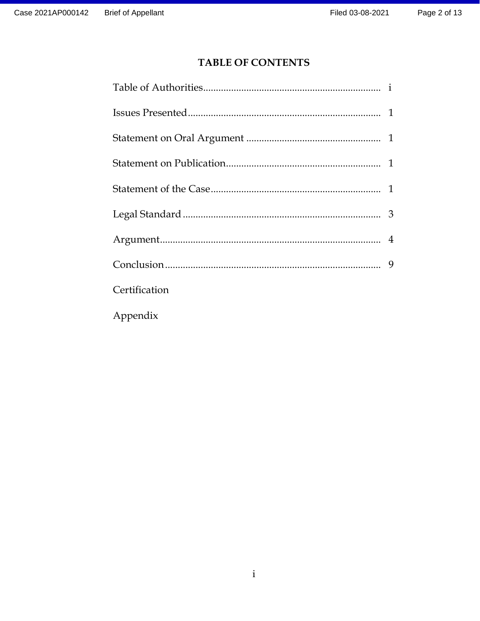# **TABLE OF CONTENTS**

| Certification |  |
|---------------|--|
| Appendix      |  |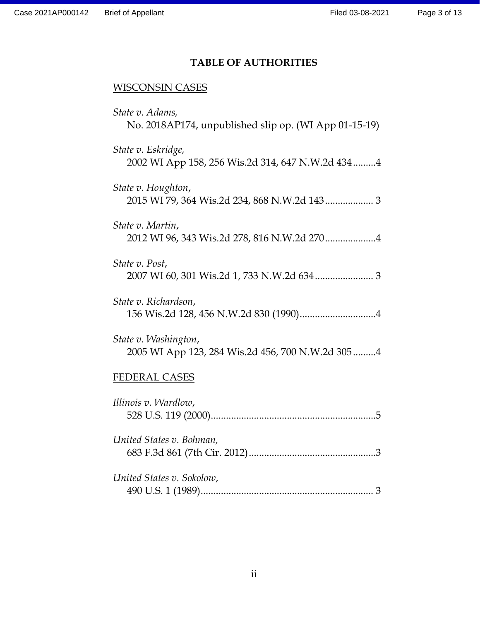# **TABLE OF AUTHORITIES**

# WISCONSIN CASES

| State v. Adams,<br>No. 2018AP174, unpublished slip op. (WI App 01-15-19)  |
|---------------------------------------------------------------------------|
| State v. Eskridge,<br>2002 WI App 158, 256 Wis.2d 314, 647 N.W.2d 434 4   |
| State v. Houghton,                                                        |
| State v. Martin,                                                          |
| State v. Post,                                                            |
| State v. Richardson,                                                      |
| State v. Washington,<br>2005 WI App 123, 284 Wis.2d 456, 700 N.W.2d 305 4 |
| <b>FEDERAL CASES</b>                                                      |
| Illinois v. Wardlow,                                                      |
| United States v. Bohman,                                                  |
| United States v. Sokolow,                                                 |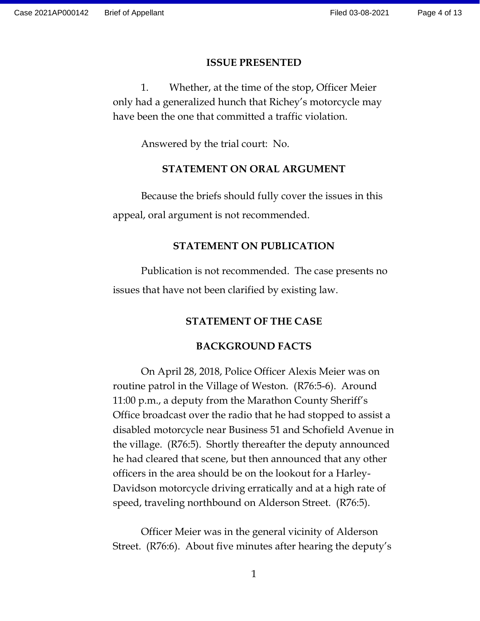#### **ISSUE PRESENTED**

1. Whether, at the time of the stop, Officer Meier only had a generalized hunch that Richey's motorcycle may have been the one that committed a traffic violation.

Answered by the trial court: No.

#### **STATEMENT ON ORAL ARGUMENT**

Because the briefs should fully cover the issues in this appeal, oral argument is not recommended.

#### **STATEMENT ON PUBLICATION**

Publication is not recommended. The case presents no issues that have not been clarified by existing law.

#### **STATEMENT OF THE CASE**

#### **BACKGROUND FACTS**

On April 28, 2018, Police Officer Alexis Meier was on routine patrol in the Village of Weston. (R76:5-6). Around 11:00 p.m., a deputy from the Marathon County Sheriff's Office broadcast over the radio that he had stopped to assist a disabled motorcycle near Business 51 and Schofield Avenue in the village. (R76:5). Shortly thereafter the deputy announced he had cleared that scene, but then announced that any other officers in the area should be on the lookout for a Harley-Davidson motorcycle driving erratically and at a high rate of speed, traveling northbound on Alderson Street. (R76:5).

Officer Meier was in the general vicinity of Alderson Street. (R76:6). About five minutes after hearing the deputy's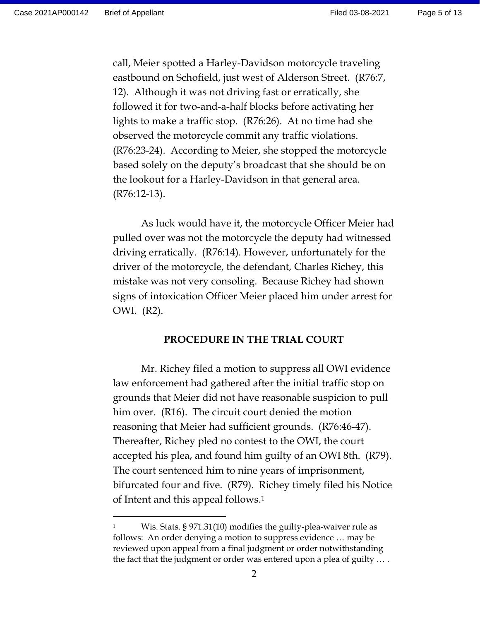$\overline{a}$ 

Page 5 of 13

call, Meier spotted a Harley-Davidson motorcycle traveling eastbound on Schofield, just west of Alderson Street. (R76:7, 12). Although it was not driving fast or erratically, she followed it for two-and-a-half blocks before activating her lights to make a traffic stop. (R76:26). At no time had she observed the motorcycle commit any traffic violations. (R76:23-24). According to Meier, she stopped the motorcycle based solely on the deputy's broadcast that she should be on the lookout for a Harley-Davidson in that general area. (R76:12-13).

As luck would have it, the motorcycle Officer Meier had pulled over was not the motorcycle the deputy had witnessed driving erratically. (R76:14). However, unfortunately for the driver of the motorcycle, the defendant, Charles Richey, this mistake was not very consoling. Because Richey had shown signs of intoxication Officer Meier placed him under arrest for OWI. (R2).

#### **PROCEDURE IN THE TRIAL COURT**

Mr. Richey filed a motion to suppress all OWI evidence law enforcement had gathered after the initial traffic stop on grounds that Meier did not have reasonable suspicion to pull him over. (R16). The circuit court denied the motion reasoning that Meier had sufficient grounds. (R76:46-47). Thereafter, Richey pled no contest to the OWI, the court accepted his plea, and found him guilty of an OWI 8th. (R79). The court sentenced him to nine years of imprisonment, bifurcated four and five. (R79). Richey timely filed his Notice of Intent and this appeal follows.<sup>1</sup>

Wis. Stats. § 971.31(10) modifies the guilty-plea-waiver rule as follows: An order denying a motion to suppress evidence … may be reviewed upon appeal from a final judgment or order notwithstanding the fact that the judgment or order was entered upon a plea of guilty … .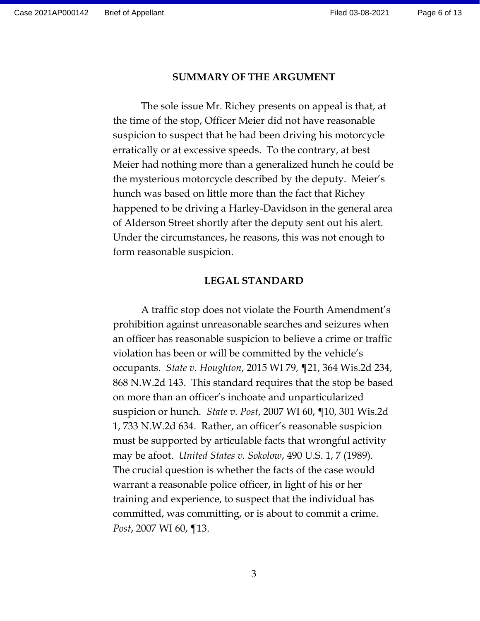#### **SUMMARY OF THE ARGUMENT**

The sole issue Mr. Richey presents on appeal is that, at the time of the stop, Officer Meier did not have reasonable suspicion to suspect that he had been driving his motorcycle erratically or at excessive speeds. To the contrary, at best Meier had nothing more than a generalized hunch he could be the mysterious motorcycle described by the deputy. Meier's hunch was based on little more than the fact that Richey happened to be driving a Harley-Davidson in the general area of Alderson Street shortly after the deputy sent out his alert. Under the circumstances, he reasons, this was not enough to form reasonable suspicion.

#### **LEGAL STANDARD**

A traffic stop does not violate the Fourth Amendment's prohibition against unreasonable searches and seizures when an officer has reasonable suspicion to believe a crime or traffic violation has been or will be committed by the vehicle's occupants. *State v. Houghton*, 2015 WI 79, ¶21, 364 Wis.2d 234, 868 N.W.2d 143. This standard requires that the stop be based on more than an officer's inchoate and unparticularized suspicion or hunch. *State v. Post*, 2007 WI 60, ¶10, 301 Wis.2d 1, 733 N.W.2d 634. Rather, an officer's reasonable suspicion must be supported by articulable facts that wrongful activity may be afoot. *United States v. Sokolow*, 490 U.S. 1, 7 (1989). The crucial question is whether the facts of the case would warrant a reasonable police officer, in light of his or her training and experience, to suspect that the individual has committed, was committing, or is about to commit a crime. *Post*, 2007 WI 60, ¶13.

3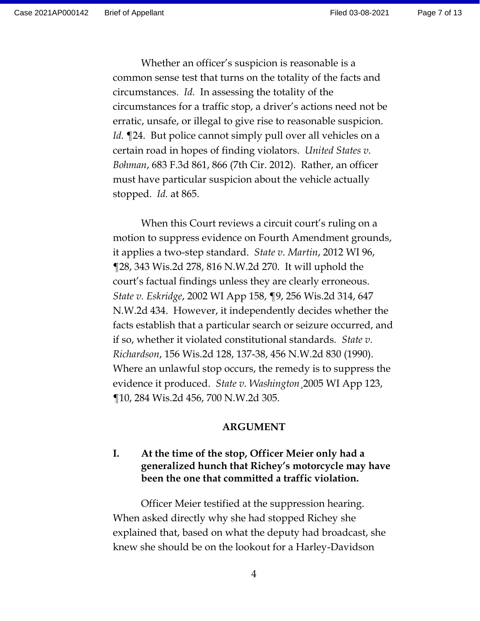Page 7 of 13

Whether an officer's suspicion is reasonable is a common sense test that turns on the totality of the facts and circumstances. *Id.* In assessing the totality of the circumstances for a traffic stop, a driver's actions need not be erratic, unsafe, or illegal to give rise to reasonable suspicion. *Id.* ¶24. But police cannot simply pull over all vehicles on a certain road in hopes of finding violators. *United States v. Bohman*, 683 F.3d 861, 866 (7th Cir. 2012). Rather, an officer must have particular suspicion about the vehicle actually stopped. *Id.* at 865.

When this Court reviews a circuit court's ruling on a motion to suppress evidence on Fourth Amendment grounds, it applies a two-step standard. *State v. Martin*, 2012 WI 96, ¶28, 343 Wis.2d 278, 816 N.W.2d 270. It will uphold the court's factual findings unless they are clearly erroneous. *State v. Eskridge*, 2002 WI App 158, ¶9, 256 Wis.2d 314, 647 N.W.2d 434. However, it independently decides whether the facts establish that a particular search or seizure occurred, and if so, whether it violated constitutional standards. *State v. Richardson*, 156 Wis.2d 128, 137-38, 456 N.W.2d 830 (1990). Where an unlawful stop occurs, the remedy is to suppress the evidence it produced. *State v. Washington*¸2005 WI App 123, ¶10, 284 Wis.2d 456, 700 N.W.2d 305.

#### **ARGUMENT**

# **I. At the time of the stop, Officer Meier only had a generalized hunch that Richey's motorcycle may have been the one that committed a traffic violation.**

Officer Meier testified at the suppression hearing. When asked directly why she had stopped Richey she explained that, based on what the deputy had broadcast, she knew she should be on the lookout for a Harley-Davidson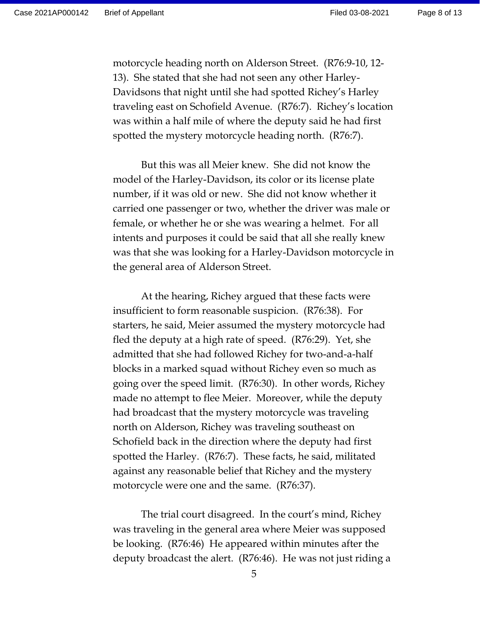motorcycle heading north on Alderson Street. (R76:9-10, 12- 13). She stated that she had not seen any other Harley-Davidsons that night until she had spotted Richey's Harley traveling east on Schofield Avenue. (R76:7). Richey's location was within a half mile of where the deputy said he had first spotted the mystery motorcycle heading north. (R76:7).

But this was all Meier knew. She did not know the model of the Harley-Davidson, its color or its license plate number, if it was old or new. She did not know whether it carried one passenger or two, whether the driver was male or female, or whether he or she was wearing a helmet. For all intents and purposes it could be said that all she really knew was that she was looking for a Harley-Davidson motorcycle in the general area of Alderson Street.

At the hearing, Richey argued that these facts were insufficient to form reasonable suspicion. (R76:38). For starters, he said, Meier assumed the mystery motorcycle had fled the deputy at a high rate of speed. (R76:29). Yet, she admitted that she had followed Richey for two-and-a-half blocks in a marked squad without Richey even so much as going over the speed limit. (R76:30). In other words, Richey made no attempt to flee Meier. Moreover, while the deputy had broadcast that the mystery motorcycle was traveling north on Alderson, Richey was traveling southeast on Schofield back in the direction where the deputy had first spotted the Harley. (R76:7). These facts, he said, militated against any reasonable belief that Richey and the mystery motorcycle were one and the same. (R76:37).

The trial court disagreed. In the court's mind, Richey was traveling in the general area where Meier was supposed be looking. (R76:46) He appeared within minutes after the deputy broadcast the alert. (R76:46). He was not just riding a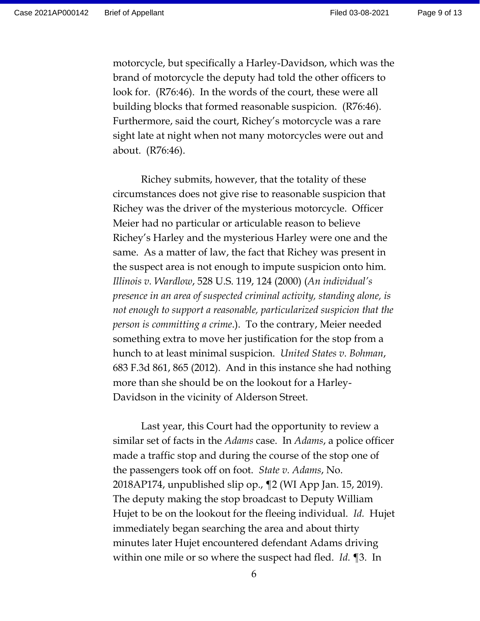motorcycle, but specifically a Harley-Davidson, which was the brand of motorcycle the deputy had told the other officers to look for. (R76:46). In the words of the court, these were all building blocks that formed reasonable suspicion. (R76:46). Furthermore, said the court, Richey's motorcycle was a rare sight late at night when not many motorcycles were out and about. (R76:46).

Richey submits, however, that the totality of these circumstances does not give rise to reasonable suspicion that Richey was the driver of the mysterious motorcycle. Officer Meier had no particular or articulable reason to believe Richey's Harley and the mysterious Harley were one and the same. As a matter of law, the fact that Richey was present in the suspect area is not enough to impute suspicion onto him. *Illinois v. Wardlow*, 528 U.S. 119, 124 (2000) (*An individual's presence in an area of suspected criminal activity, standing alone, is not enough to support a reasonable, particularized suspicion that the person is committing a crime*.). To the contrary, Meier needed something extra to move her justification for the stop from a hunch to at least minimal suspicion. *United States v. Bohman*, 683 F.3d 861, 865 (2012). And in this instance she had nothing more than she should be on the lookout for a Harley-Davidson in the vicinity of Alderson Street.

Last year, this Court had the opportunity to review a similar set of facts in the *Adams* case. In *Adams*, a police officer made a traffic stop and during the course of the stop one of the passengers took off on foot. *State v. Adams*, No. 2018AP174, unpublished slip op., ¶2 (WI App Jan. 15, 2019). The deputy making the stop broadcast to Deputy William Hujet to be on the lookout for the fleeing individual. *Id.* Hujet immediately began searching the area and about thirty minutes later Hujet encountered defendant Adams driving within one mile or so where the suspect had fled. *Id.* ¶3. In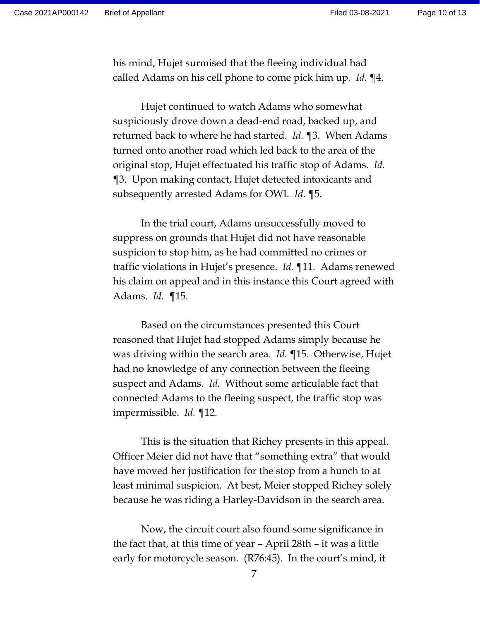his mind, Hujet surmised that the fleeing individual had called Adams on his cell phone to come pick him up. *Id.* ¶4.

Hujet continued to watch Adams who somewhat suspiciously drove down a dead-end road, backed up, and returned back to where he had started. *Id.* ¶3. When Adams turned onto another road which led back to the area of the original stop, Hujet effectuated his traffic stop of Adams. *Id.* ¶3. Upon making contact, Hujet detected intoxicants and subsequently arrested Adams for OWI. *Id*. ¶5.

In the trial court, Adams unsuccessfully moved to suppress on grounds that Hujet did not have reasonable suspicion to stop him, as he had committed no crimes or traffic violations in Hujet's presence. *Id.* ¶11. Adams renewed his claim on appeal and in this instance this Court agreed with Adams. *Id.* ¶15.

Based on the circumstances presented this Court reasoned that Hujet had stopped Adams simply because he was driving within the search area. *Id.* ¶15. Otherwise, Hujet had no knowledge of any connection between the fleeing suspect and Adams. *Id.* Without some articulable fact that connected Adams to the fleeing suspect, the traffic stop was impermissible. *Id.* ¶12.

This is the situation that Richey presents in this appeal. Officer Meier did not have that "something extra" that would have moved her justification for the stop from a hunch to at least minimal suspicion. At best, Meier stopped Richey solely because he was riding a Harley-Davidson in the search area.

Now, the circuit court also found some significance in the fact that, at this time of year – April 28th – it was a little early for motorcycle season. (R76:45). In the court's mind, it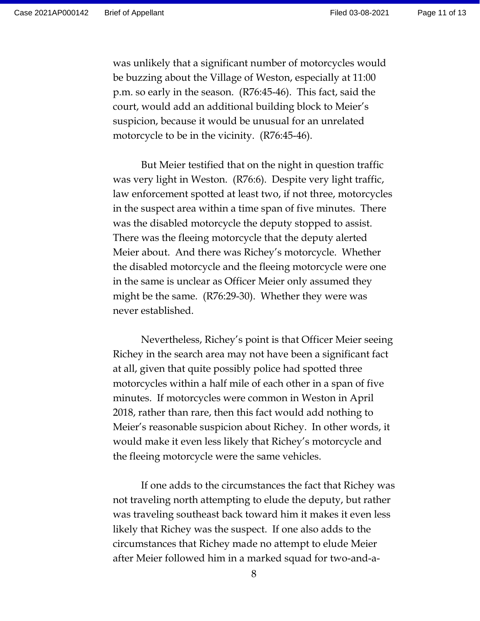was unlikely that a significant number of motorcycles would be buzzing about the Village of Weston, especially at 11:00 p.m. so early in the season. (R76:45-46). This fact, said the court, would add an additional building block to Meier's suspicion, because it would be unusual for an unrelated motorcycle to be in the vicinity. (R76:45-46).

But Meier testified that on the night in question traffic was very light in Weston. (R76:6). Despite very light traffic, law enforcement spotted at least two, if not three, motorcycles in the suspect area within a time span of five minutes. There was the disabled motorcycle the deputy stopped to assist. There was the fleeing motorcycle that the deputy alerted Meier about. And there was Richey's motorcycle. Whether the disabled motorcycle and the fleeing motorcycle were one in the same is unclear as Officer Meier only assumed they might be the same. (R76:29-30). Whether they were was never established.

Nevertheless, Richey's point is that Officer Meier seeing Richey in the search area may not have been a significant fact at all, given that quite possibly police had spotted three motorcycles within a half mile of each other in a span of five minutes. If motorcycles were common in Weston in April 2018, rather than rare, then this fact would add nothing to Meier's reasonable suspicion about Richey. In other words, it would make it even less likely that Richey's motorcycle and the fleeing motorcycle were the same vehicles.

If one adds to the circumstances the fact that Richey was not traveling north attempting to elude the deputy, but rather was traveling southeast back toward him it makes it even less likely that Richey was the suspect. If one also adds to the circumstances that Richey made no attempt to elude Meier after Meier followed him in a marked squad for two-and-a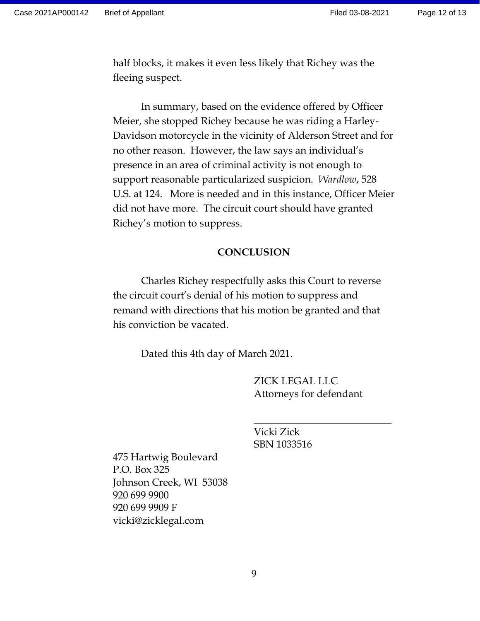half blocks, it makes it even less likely that Richey was the fleeing suspect.

In summary, based on the evidence offered by Officer Meier, she stopped Richey because he was riding a Harley-Davidson motorcycle in the vicinity of Alderson Street and for no other reason. However, the law says an individual's presence in an area of criminal activity is not enough to support reasonable particularized suspicion. *Wardlow*, 528 U.S. at 124. More is needed and in this instance, Officer Meier did not have more. The circuit court should have granted Richey's motion to suppress.

#### **CONCLUSION**

Charles Richey respectfully asks this Court to reverse the circuit court's denial of his motion to suppress and remand with directions that his motion be granted and that his conviction be vacated.

Dated this 4th day of March 2021.

ZICK LEGAL LLC Attorneys for defendant

\_\_\_\_\_\_\_\_\_\_\_\_\_\_\_\_\_\_\_\_\_\_\_\_\_\_\_

Vicki Zick SBN 1033516

475 Hartwig Boulevard P.O. Box 325 Johnson Creek, WI 53038 920 699 9900 920 699 9909 F vicki@zicklegal.com